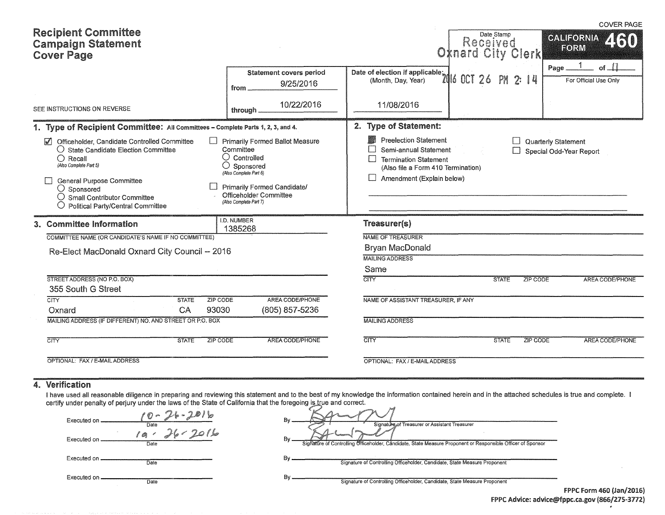| <b>Recipient Committee</b><br><b>Campaign Statement</b><br><b>Cover Page</b>                                                                                                                                                                                                                               |                                                                                                                                                                                                                   |                                                                                                                                                          | Date Stamp<br>Received<br><b>Oxnard City Clerk</b> | <b>COVER PAGE</b><br><b>CALIFORNIA</b><br><b>ZKRO</b><br>FORM |
|------------------------------------------------------------------------------------------------------------------------------------------------------------------------------------------------------------------------------------------------------------------------------------------------------------|-------------------------------------------------------------------------------------------------------------------------------------------------------------------------------------------------------------------|----------------------------------------------------------------------------------------------------------------------------------------------------------|----------------------------------------------------|---------------------------------------------------------------|
|                                                                                                                                                                                                                                                                                                            | <b>Statement covers period</b><br>9/25/2016<br>from.                                                                                                                                                              | Date of election if applicable:<br>Dav Year) 26                                                                                                          | 2:14<br>PM                                         | - 11<br>Page<br>оf<br>For Official Use Only                   |
| SEE INSTRUCTIONS ON REVERSE                                                                                                                                                                                                                                                                                | 10/22/2016<br>through.                                                                                                                                                                                            | 11/08/2016                                                                                                                                               |                                                    |                                                               |
| 1. Type of Recipient Committee: All Committees - Complete Parts 1, 2, 3, and 4.                                                                                                                                                                                                                            |                                                                                                                                                                                                                   | 2. Type of Statement:                                                                                                                                    |                                                    |                                                               |
| Officeholder, Candidate Controlled Committee<br>$\overline{v}$<br>$\bigcirc$ State Candidate Election Committee<br>$\bigcap$ Recall<br>(Also Complete Part 5)<br><b>General Purpose Committee</b><br>$\bigcirc$ Sponsored<br>O Small Contributor Committee<br>$\bigcirc$ Political Party/Central Committee | <b>Primarily Formed Ballot Measure</b><br>Committee<br>$\bigcirc$ Controlled<br>$\bigcirc$ Sponsored<br>(Also Complete Part 6)<br>Primarily Formed Candidate/<br>Officeholder Committee<br>(Also Complete Part 7) | <b>Preelection Statement</b><br>Semi-annual Statement<br><b>Termination Statement</b><br>(Also file a Form 410 Termination)<br>Amendment (Explain below) |                                                    | Quarterly Statement<br>Special Odd-Year Report                |
| 3. Committee Information                                                                                                                                                                                                                                                                                   | I.D. NUMBER<br>1385268                                                                                                                                                                                            | Treasurer(s)                                                                                                                                             |                                                    |                                                               |
| COMMITTEE NAME (OR CANDIDATE'S NAME IF NO COMMITTEE)                                                                                                                                                                                                                                                       |                                                                                                                                                                                                                   | <b>NAME OF TREASURER</b>                                                                                                                                 |                                                    |                                                               |
| Re-Elect MacDonald Oxnard City Council -- 2016                                                                                                                                                                                                                                                             |                                                                                                                                                                                                                   | <b>Bryan MacDonald</b>                                                                                                                                   |                                                    |                                                               |
|                                                                                                                                                                                                                                                                                                            |                                                                                                                                                                                                                   | <b>MAILING ADDRESS</b>                                                                                                                                   |                                                    |                                                               |
|                                                                                                                                                                                                                                                                                                            |                                                                                                                                                                                                                   | Same                                                                                                                                                     |                                                    |                                                               |
| STREET ADDRESS (NO P.O. BOX)<br>355 South G Street                                                                                                                                                                                                                                                         |                                                                                                                                                                                                                   | <b>CITY</b>                                                                                                                                              | ZIP CODE<br><b>STATE</b>                           | AREA CODE/PHONE                                               |
| CTY<br><b>STATE</b><br>ZIP CODE<br>93030<br>CA<br>Oxnard                                                                                                                                                                                                                                                   | AREA CODE/PHONE<br>(805) 857-5236                                                                                                                                                                                 | NAME OF ASSISTANT TREASURER, IF ANY                                                                                                                      |                                                    |                                                               |
| MAILING ADDRESS (IF DIFFERENT) NO. AND STREET OR P.O. BOX                                                                                                                                                                                                                                                  |                                                                                                                                                                                                                   | <b>MAILING ADDRESS</b>                                                                                                                                   |                                                    |                                                               |
|                                                                                                                                                                                                                                                                                                            |                                                                                                                                                                                                                   |                                                                                                                                                          |                                                    |                                                               |
| $\overline{\text{CITY}}$<br><b>STATE</b><br>ZIP CODE                                                                                                                                                                                                                                                       | AREA CODE/PHONE                                                                                                                                                                                                   | $\overline{\text{CITY}}$                                                                                                                                 | <b>ZIP CODE</b><br><b>STATE</b>                    | AREA CODE/PHONE                                               |
| OPTIONAL: FAX / E-MAIL ADDRESS                                                                                                                                                                                                                                                                             |                                                                                                                                                                                                                   | OPTIONAL: FAX / E-MAIL ADDRESS                                                                                                                           |                                                    |                                                               |

### 4. Verification

I have used all reasonable diligence in preparing and reviewing this statement and to the best of my knowledge the information contained herein and in the attached schedules is true and complete. certify under penalty of perjury under the laws of the State of California that the foregoing i<u>s tr</u>ue and correct.

| $00 - 26 - 2016$<br>Executed on.<br>Date | Βv<br>Signature of Treasurer or Assistant Treasurer                                                               |                                 |
|------------------------------------------|-------------------------------------------------------------------------------------------------------------------|---------------------------------|
| 2016<br>Executed on.<br>Date             | Bv<br>Signature of Controlling Officeholder, Candidate, State Measure Proponent or Responsible Officer of Sponsor |                                 |
| Executed on.<br>Date                     | Signature of Controlling Officeholder, Candidate, State Measure Proponent                                         |                                 |
| Executed on.<br>Date                     | Signature of Controlling Officeholder, Candidate, State Measure Proponent                                         | <b>FPPC Form 460 (Jan/2016)</b> |

FPPC Advice: advice@fppc.ca.gov {866/215-3712)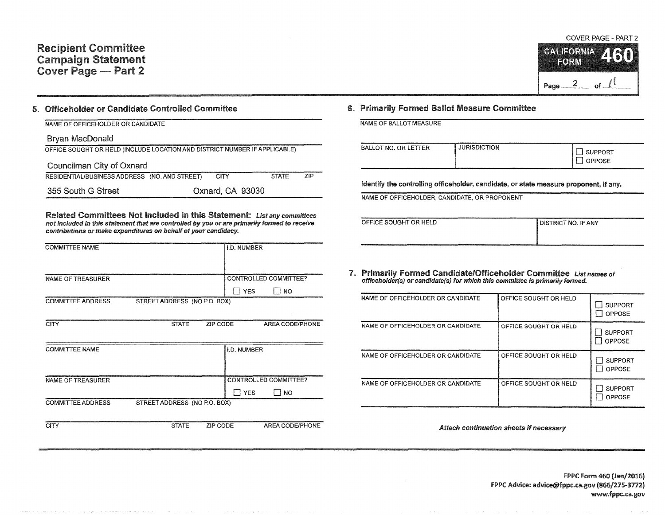# Recipient Committee Campaign Statement Cover Page — Part 2

COVER PAGE - PART 2 CALIFORNIA **ZIS** FORM Page  $2$  of  $1$ 

#### 5. Officeholder or Candidate Controlled Committee

#### NAME OF OFFICEHOLDER OR CANDIDATE

#### Bryan MacDonald

| OFFICE SOUGHT OR HELD (INCLUDE LOCATION AND DISTRICT NUMBER IF APPLICABLE) |  |                  |              |            |  |  |  |
|----------------------------------------------------------------------------|--|------------------|--------------|------------|--|--|--|
| Councilman City of Oxnard                                                  |  |                  |              |            |  |  |  |
| RESIDENTIAL/BUSINESS ADDRESS (NO. AND STREET)                              |  | CITY             | <b>STATE</b> | <b>ZIP</b> |  |  |  |
| 355 South G Street                                                         |  | Oxnard, CA 93030 |              |            |  |  |  |

Related Committees Not Included in this Statement: List any committees not included in this statement that are controlled by you or are primarily formed to receive contributions or make expenditures on behalf of your candidacy.

| <b>COMMITTEE NAME</b>    |                              | I.D. NUMBER        |                              |
|--------------------------|------------------------------|--------------------|------------------------------|
|                          |                              |                    |                              |
| <b>NAME OF TREASURER</b> |                              |                    | CONTROLLED COMMITTEE?        |
|                          |                              | II YES             | $\Box$ NO                    |
| <b>COMMITTEE ADDRESS</b> | STREET ADDRESS (NO P.O. BOX) |                    |                              |
|                          |                              |                    |                              |
| <b>CITY</b>              | <b>STATE</b>                 | ZIP CODE           | AREA CODE/PHONE              |
|                          |                              |                    |                              |
| <b>COMMITTEE NAME</b>    |                              | <b>I.D. NUMBER</b> |                              |
|                          |                              |                    |                              |
|                          |                              |                    |                              |
| NAME OF TREASURER        |                              |                    | <b>CONTROLLED COMMITTEE?</b> |
|                          |                              | <b>I</b> YES       | l NO                         |
| <b>COMMITTEE ADDRESS</b> | STREET ADDRESS (NO P.O. BOX) |                    |                              |
|                          |                              |                    |                              |
| <b>CITY</b>              | <b>STATE</b>                 | ZIP CODE           | AREA CODE/PHONE              |

#### 6. Primarily Formed Ballot Measure Committee

|  |  |  | NAME OF BALLOT MEASURE |
|--|--|--|------------------------|
|--|--|--|------------------------|

| <b>JURISDICTION</b><br>BALLOT NO. OR LETTER<br><b>SUPPORT</b><br>OPPOSE |  |
|-------------------------------------------------------------------------|--|
|-------------------------------------------------------------------------|--|

Identify the controlling officeholder, candidate, or state measure proponent, if any.

NAME OF OFFICEHOLDER, CANDIDATE, OR PROPONENT

| OFFICE SOUGHT OR HELD | I DISTRICT NO. IF ANY |
|-----------------------|-----------------------|
|                       |                       |
|                       |                       |

# 7. Primarily Formed Candidate/Officeholder Committee List names of officeholder(s) or candidate(s} for which this committee is primarily formed.

| NAME OF OFFICEHOLDER OR CANDIDATE | OFFICE SOUGHT OR HELD | <b>SUPPORT</b><br>OPPOSE |
|-----------------------------------|-----------------------|--------------------------|
| NAME OF OFFICEHOLDER OR CANDIDATE | OFFICE SOUGHT OR HELD | <b>SUPPORT</b><br>OPPOSE |
| NAME OF OFFICEHOLDER OR CANDIDATE | OFFICE SOUGHT OR HELD | <b>SUPPORT</b><br>OPPOSE |
| NAME OF OFFICEHOLDER OR CANDIDATE | OFFICE SOUGHT OR HELD | <b>SUPPORT</b><br>OPPOSE |

Attach continuation sheets if necessary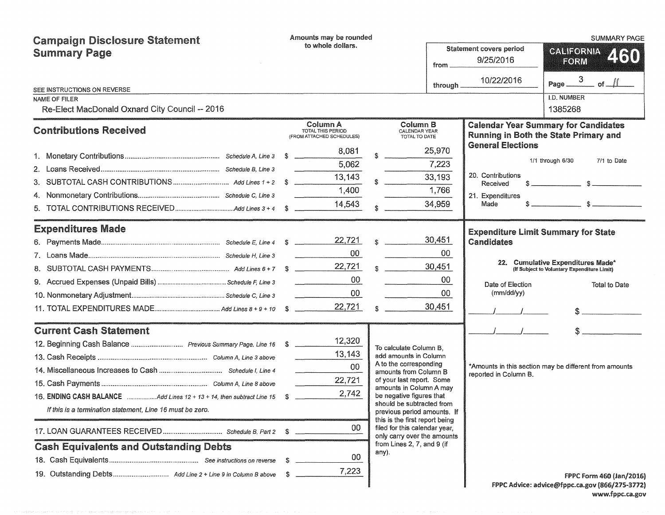| <b>Campaign Disclosure Statement</b>                                     | Amounts may be rounded |                                                            |                                                       |                                                                                            |           |                               | <b>SUMMARY PAGE</b>                                                                  |  |  |
|--------------------------------------------------------------------------|------------------------|------------------------------------------------------------|-------------------------------------------------------|--------------------------------------------------------------------------------------------|-----------|-------------------------------|--------------------------------------------------------------------------------------|--|--|
| <b>Summary Page</b>                                                      |                        | to whole dollars.                                          | <b>Statement covers period</b><br>9/25/2016<br>from _ |                                                                                            |           |                               | <b>GALIFORNIA</b><br>2130<br>FORM                                                    |  |  |
|                                                                          |                        |                                                            |                                                       |                                                                                            | through _ | 10/22/2016                    | Page $\frac{3}{2}$ of $\frac{1}{2}$                                                  |  |  |
| SEE INSTRUCTIONS ON REVERSE<br>NAME OF FILER                             |                        |                                                            |                                                       |                                                                                            |           |                               | <b>I.D. NUMBER</b>                                                                   |  |  |
| Re-Elect MacDonald Oxnard City Council -- 2016                           |                        |                                                            |                                                       |                                                                                            |           |                               | 1385268                                                                              |  |  |
| <b>Contributions Received</b>                                            |                        | Column A<br>TOTAL THIS PERIOD<br>(FROM ATTACHED SCHEDULES) |                                                       | <b>Column B</b><br><b>CALENDAR YEAR</b><br>TOTAL TO DATE                                   |           |                               | <b>Calendar Year Summary for Candidates</b><br>Running in Both the State Primary and |  |  |
|                                                                          |                        | 8,081                                                      |                                                       | 25,970                                                                                     |           | <b>General Elections</b>      |                                                                                      |  |  |
|                                                                          |                        | 5,062                                                      |                                                       | 7,223                                                                                      |           |                               | 1/1 through 6/30<br>7/1 to Date                                                      |  |  |
|                                                                          |                        | 13,143                                                     |                                                       | 33,193                                                                                     |           | 20. Contributions<br>Received |                                                                                      |  |  |
|                                                                          |                        | 1,400                                                      |                                                       | 1,766                                                                                      |           | 21. Expenditures              |                                                                                      |  |  |
|                                                                          |                        | 14,543                                                     |                                                       | 34,959                                                                                     |           | Made                          |                                                                                      |  |  |
| <b>Expenditures Made</b>                                                 |                        |                                                            |                                                       |                                                                                            |           |                               | <b>Expenditure Limit Summary for State</b>                                           |  |  |
|                                                                          |                        |                                                            |                                                       | 30,451<br>$\hat{\mathbf{x}}$                                                               |           | <b>Candidates</b>             |                                                                                      |  |  |
|                                                                          |                        | 00                                                         |                                                       | 00                                                                                         |           |                               |                                                                                      |  |  |
|                                                                          |                        |                                                            |                                                       | 30,451<br>$\frac{1}{2}$                                                                    |           |                               | 22. Cumulative Expenditures Made*<br>(If Subject to Voluntary Expenditure Limit)     |  |  |
|                                                                          |                        | 00                                                         |                                                       | $00\,$                                                                                     |           | Date of Election              | <b>Total to Date</b>                                                                 |  |  |
|                                                                          |                        | $00\,$                                                     |                                                       | $00\,$                                                                                     |           | (mm/dd/yy)                    |                                                                                      |  |  |
|                                                                          |                        | 22,721                                                     |                                                       | 30,451                                                                                     |           |                               |                                                                                      |  |  |
| <b>Current Cash Statement</b>                                            |                        |                                                            |                                                       |                                                                                            |           |                               |                                                                                      |  |  |
|                                                                          |                        | 12,320                                                     |                                                       | To calculate Column B.                                                                     |           |                               |                                                                                      |  |  |
|                                                                          |                        | 13,143                                                     |                                                       | add amounts in Column                                                                      |           |                               |                                                                                      |  |  |
|                                                                          |                        | 00                                                         |                                                       | A to the corresponding<br>amounts from Column B                                            |           | reported in Column B.         | *Amounts in this section may be different from amounts                               |  |  |
|                                                                          |                        | 22,721                                                     |                                                       | of your last report. Some<br>amounts in Column A may                                       |           |                               |                                                                                      |  |  |
| 16. ENDING CASH BALANCE Add Lines 12 + 13 + 14, then subtract Line 15 \$ |                        | 2,742                                                      |                                                       | be negative figures that                                                                   |           |                               |                                                                                      |  |  |
| If this is a termination statement, Line 16 must be zero.                |                        |                                                            |                                                       | should be subtracted from<br>previous period amounts. If<br>this is the first report being |           |                               |                                                                                      |  |  |
|                                                                          | S                      | 00                                                         |                                                       | filed for this calendar year,<br>only carry over the amounts                               |           |                               |                                                                                      |  |  |
| <b>Cash Equivalents and Outstanding Debts</b>                            |                        |                                                            |                                                       | from Lines 2, 7, and 9 (if<br>any).                                                        |           |                               |                                                                                      |  |  |
|                                                                          | S                      | 00                                                         |                                                       |                                                                                            |           |                               |                                                                                      |  |  |
|                                                                          |                        | 7,223                                                      |                                                       |                                                                                            |           |                               | <b>FPPC Form 460 (Jan/2016)</b>                                                      |  |  |
|                                                                          |                        |                                                            |                                                       |                                                                                            |           |                               | FPPC Advice: advice@fppc.ca.gov (866/275-3772)                                       |  |  |

FPPC Advice: advice@fppc.ca.gov (866/2.75-3172) www.fppc.ca.gov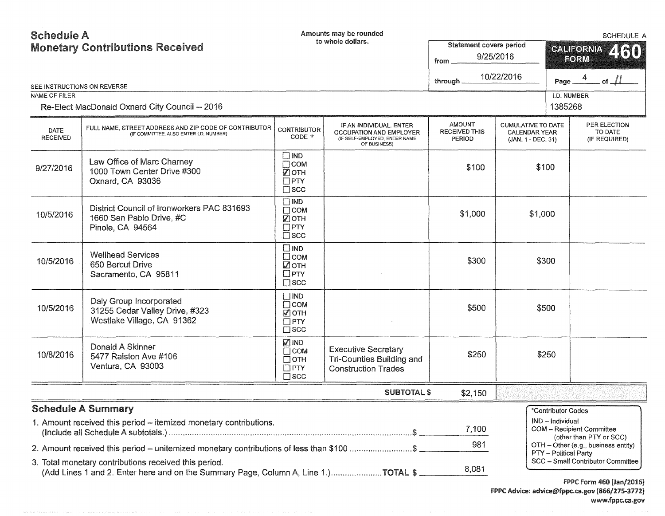# Schedule A

| <b>Monetary Contributions Received</b> |                                                                                                                                             |                                                                        | to whole dollars.                                                                                   | <b>Statement covers period</b><br>9/25/2016<br>from<br>10/22/2016 |                                                                         |                              | <b>CALIFORNIA</b><br>460<br>FORM<br>of $\overline{\mathcal{M}}$ |  |  |
|----------------------------------------|---------------------------------------------------------------------------------------------------------------------------------------------|------------------------------------------------------------------------|-----------------------------------------------------------------------------------------------------|-------------------------------------------------------------------|-------------------------------------------------------------------------|------------------------------|-----------------------------------------------------------------|--|--|
| SEE INSTRUCTIONS ON REVERSE            |                                                                                                                                             |                                                                        |                                                                                                     | through.                                                          |                                                                         | Page                         |                                                                 |  |  |
| NAME OF FILER                          |                                                                                                                                             |                                                                        |                                                                                                     |                                                                   |                                                                         | I.D. NUMBER                  |                                                                 |  |  |
|                                        | Re-Elect MacDonald Oxnard City Council -- 2016                                                                                              |                                                                        |                                                                                                     |                                                                   |                                                                         | 1385268                      |                                                                 |  |  |
| <b>DATE</b><br><b>RECEIVED</b>         | FULL NAME, STREET ADDRESS AND ZIP CODE OF CONTRIBUTOR<br>(IF COMMITTEE, ALSO ENTER I.D. NUMBER)                                             | <b>CONTRIBUTOR</b><br>$CODE *$                                         | IF AN INDIVIDUAL, ENTER<br>OCCUPATION AND EMPLOYER<br>(IF SELF-EMPLOYED, ENTER NAME<br>OF BUSINESS) | <b>AMOUNT</b><br><b>RECEIVED THIS</b><br><b>PERIOD</b>            | <b>CUMULATIVE TO DATE</b><br><b>CALENDAR YEAR</b><br>(JAN. 1 - DEC. 31) |                              | PER ELECTION<br>TO DATE<br>(IF REQUIRED)                        |  |  |
| 9/27/2016                              | Law Office of Marc Charney<br>1000 Town Center Drive #300<br>Oxnard, CA 93036                                                               | $\square$ IND<br>$\Box$ COM<br>■ОТН<br>$\square$ PTY<br>$\square$ SCC  |                                                                                                     | \$100                                                             | \$100                                                                   |                              |                                                                 |  |  |
| 10/5/2016                              | District Council of Ironworkers PAC 831693<br>1660 San Pablo Drive, #C<br>Pinole, CA 94564                                                  | $\square$ IND<br>$\Box$ COM<br>☑отн<br>$\Box$ PTY<br>$\square$ scc     |                                                                                                     | \$1,000                                                           | \$1,000                                                                 |                              |                                                                 |  |  |
| 10/5/2016                              | <b>Wellhead Services</b><br>650 Bercut Drive<br>Sacramento, CA 95811                                                                        | $\square$ IND<br>$\square$ COM<br>■ОТН<br>$\Box$ PTY<br>$\square$ scc  |                                                                                                     | \$300                                                             | \$300                                                                   |                              |                                                                 |  |  |
| 10/5/2016                              | Daly Group Incorporated<br>31255 Cedar Valley Drive, #323<br>Westlake Village, CA 91362                                                     | $\Box$ IND<br>$\Box$ COM<br>■ОТН<br>$\Box$ PTY<br>$\square$ SCC        |                                                                                                     | \$500                                                             | \$500                                                                   |                              |                                                                 |  |  |
| 10/8/2016                              | Donald A Skinner<br>5477 Ralston Ave #106<br>Ventura, CA 93003                                                                              | <b>ZIND</b><br>$\Box$ COM<br>$\Box$ OTH<br>$\Box$ PTY<br>$\square$ scc | <b>Executive Secretary</b><br><b>Tri-Counties Building and</b><br><b>Construction Trades</b>        | \$250                                                             | \$250                                                                   |                              |                                                                 |  |  |
|                                        |                                                                                                                                             |                                                                        | <b>SUBTOTAL \$</b>                                                                                  | \$2,150                                                           |                                                                         |                              |                                                                 |  |  |
|                                        | <b>Schedule A Summary</b>                                                                                                                   |                                                                        |                                                                                                     |                                                                   |                                                                         | *Contributor Codes           |                                                                 |  |  |
|                                        | 1. Amount received this period – itemized monetary contributions.                                                                           |                                                                        |                                                                                                     | 7,100                                                             |                                                                         | IND - Individual             | <b>COM - Recipient Committee</b><br>(other than PTY or SCC)     |  |  |
|                                        | 2. Amount received this period – unitemized monetary contributions of less than \$100 \$                                                    |                                                                        |                                                                                                     | 981                                                               |                                                                         |                              | OTH - Other (e.g., business entity)                             |  |  |
|                                        | 3. Total monetary contributions received this period.<br>(Add Lines 1 and 2. Enter here and on the Summary Page, Column A, Line 1.)TOTAL \$ |                                                                        |                                                                                                     | 8,081                                                             |                                                                         | <b>PTY</b> - Political Party | SCC - Small Contributor Committee                               |  |  |

FPPC Form 460 (Jan/2016) FPPC Advice: advice@fppc.ca.gov (866/215-3172) www.fppc.ca.gov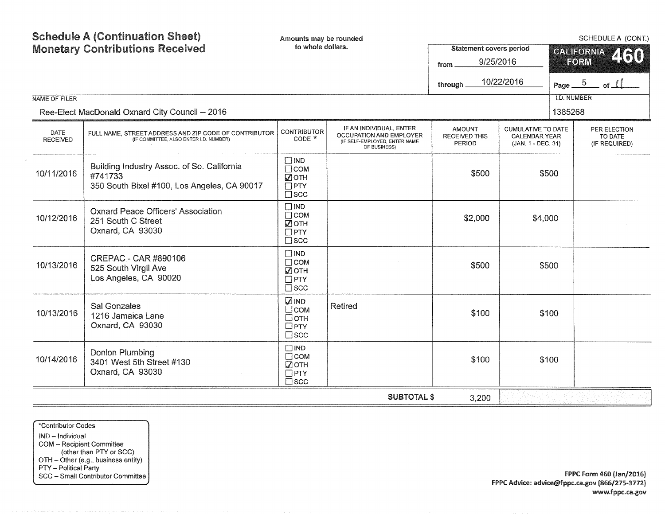| <b>NAME OF FILER</b>    | <b>Schedule A (Continuation Sheet)</b><br><b>Monetary Contributions Received</b><br>Ree-Elect MacDonald Oxnard City Council -- 2016 | Amounts may be rounded<br>to whole dollars.                               |                                                                                                     | <b>Statement covers period</b><br>9/25/2016<br>from<br>through | 10/22/2016                                                              | Page $-5$<br>1385268 | SCHEDULE A (CONT.)<br><b>GALIFORNIA</b><br>460<br>FORM<br>$\_$ of $\_$<br><b>I.D. NUMBER</b> |  |
|-------------------------|-------------------------------------------------------------------------------------------------------------------------------------|---------------------------------------------------------------------------|-----------------------------------------------------------------------------------------------------|----------------------------------------------------------------|-------------------------------------------------------------------------|----------------------|----------------------------------------------------------------------------------------------|--|
| DATE<br><b>RECEIVED</b> | FULL NAME, STREET ADDRESS AND ZIP CODE OF CONTRIBUTOR<br>(IF COMMITTEE, ALSO ENTER I.D. NUMBER)                                     | <b>CONTRIBUTOR</b><br>CODE *                                              | IF AN INDIVIDUAL, ENTER<br>OCCUPATION AND EMPLOYER<br>(IF SELF-EMPLOYED, ENTER NAME<br>OF BUSINESS) | <b>AMOUNT</b><br>RECEIVED THIS<br><b>PERIOD</b>                | <b>CUMULATIVE TO DATE</b><br><b>CALENDAR YEAR</b><br>(JAN. 1 - DEC. 31) |                      | PER ELECTION<br>TO DATE<br>(IF REQUIRED)                                                     |  |
| 10/11/2016              | Building Industry Assoc. of So. California<br>#741733<br>350 South Bixel #100, Los Angeles, CA 90017                                | $\Box$ IND<br>$\Box$ COM<br>☑отн<br>$\Box$ PTY<br>$\square$ scc           |                                                                                                     | \$500                                                          |                                                                         | \$500                |                                                                                              |  |
| 10/12/2016              | <b>Oxnard Peace Officers' Association</b><br>251 South C Street<br>Oxnard, CA 93030                                                 | $\Box$ IND<br>$\Box$ COM<br>■ОТН<br>$\Box$ PTY<br>$\square$ scc           |                                                                                                     | \$2,000                                                        | \$4,000                                                                 |                      |                                                                                              |  |
| 10/13/2016              | CREPAC - CAR #890106<br>525 South Virgil Ave<br>Los Angeles, CA 90020                                                               | $\Box$ IND<br>$\Box$ COM<br>■ОТН<br>$\Box$ PTY<br>$\square$ scc           |                                                                                                     | \$500                                                          |                                                                         | \$500                |                                                                                              |  |
| 10/13/2016              | Sal Gonzales<br>1216 Jamaica Lane<br>Oxnard, CA 93030                                                                               | <b>ZIND</b><br>$\square$ COM<br>$\Box$ OTH<br>$\Box$ PTY<br>$\square$ scc | <b>Retired</b>                                                                                      | \$100                                                          |                                                                         | \$100                |                                                                                              |  |
| 10/14/2016              | <b>Donlon Plumbing</b><br>3401 West 5th Street #130<br>Oxnard, CA 93030                                                             | $\Box$ IND<br>$\Box$ COM<br><b>ZOTH</b><br>$\Box$ PTY<br>$\square$ scc    |                                                                                                     | \$100                                                          |                                                                         | \$100                |                                                                                              |  |
|                         | <b>SUBTOTAL \$</b><br>3,200                                                                                                         |                                                                           |                                                                                                     |                                                                |                                                                         |                      |                                                                                              |  |

\*Contributor Codes IND - Individual COM - Recipient Committee (other than PTY or SCC) OTH - Other (e.g., business entity) PTY - Political Party SCC - Small Contributor Committee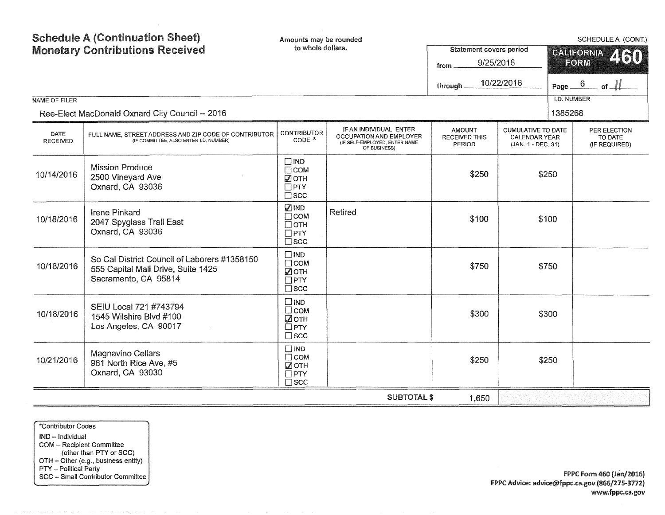| <b>NAME OF FILER</b>           | <b>Schedule A (Continuation Sheet)</b><br><b>Monetary Contributions Received</b>                           | Amounts may be rounded<br>to whole dollars.                               |                                                                                                     | <b>Statement covers period</b><br>9/25/2016<br>from<br>through _ | 10/22/2016                                                              | Page _<br><b>I.D. NUMBER</b> | SCHEDULE A (CONT.)<br><b>CALIFORNIA</b><br>460<br>FORM<br>$6\overline{6}$<br>of $\perp$ |
|--------------------------------|------------------------------------------------------------------------------------------------------------|---------------------------------------------------------------------------|-----------------------------------------------------------------------------------------------------|------------------------------------------------------------------|-------------------------------------------------------------------------|------------------------------|-----------------------------------------------------------------------------------------|
|                                | Ree-Elect MacDonald Oxnard City Council -- 2016                                                            |                                                                           |                                                                                                     |                                                                  |                                                                         | 1385268                      |                                                                                         |
| <b>DATE</b><br><b>RECEIVED</b> | FULL NAME, STREET ADDRESS AND ZIP CODE OF CONTRIBUTOR<br>(IF COMMITTEE, ALSO ENTER I.D. NUMBER)            | <b>CONTRIBUTOR</b><br>CODE *                                              | IF AN INDIVIDUAL, ENTER<br>OCCUPATION AND EMPLOYER<br>(IF SELF-EMPLOYED, ENTER NAME<br>OF BUSINESS) | <b>AMOUNT</b><br><b>RECEIVED THIS</b><br><b>PERIOD</b>           | <b>CUMULATIVE TO DATE</b><br><b>CALENDAR YEAR</b><br>(JAN. 1 - DEC. 31) |                              | PER ELECTION<br>TO DATE<br>(IF REQUIRED)                                                |
| 10/14/2016                     | <b>Mission Produce</b><br>2500 Vineyard Ave<br>Oxnard, CA 93036                                            | $\Box$ IND<br>$\Box$ COM<br>$\sqrt{2}$ OTH<br>$\Box$ PTY<br>$\square$ scc |                                                                                                     | \$250                                                            |                                                                         | \$250                        |                                                                                         |
| 10/18/2016                     | <b>Irene Pinkard</b><br>2047 Spyglass Trail East<br>Oxnard, CA 93036                                       | <b>MIND</b><br>$\Box$ COM<br>$\Box$ OTH<br>$\Box$ PTY<br>$\square$ scc    | <b>Retired</b>                                                                                      | \$100                                                            |                                                                         | \$100                        |                                                                                         |
| 10/18/2016                     | So Cal District Council of Laborers #1358150<br>555 Capital Mall Drive, Suite 1425<br>Sacramento, CA 95814 | $\Box$ IND<br>$\Box$ COM<br>☑отн<br>$\Box$ PTY<br>$\square$ scc           |                                                                                                     | \$750                                                            |                                                                         | \$750                        |                                                                                         |
| 10/18/2016                     | SEIU Local 721 #743794<br>1545 Wilshire Blvd #100<br>Los Angeles, CA 90017                                 | $\Box$ IND<br>$\Box$ COM<br>☑отн<br>$\Box$ PTY<br>$\square$ scc           |                                                                                                     | \$300                                                            |                                                                         | \$300                        |                                                                                         |
| 10/21/2016                     | <b>Magnavino Cellars</b><br>961 North Rice Ave, #5<br>Oxnard, CA 93030                                     | $\Box$ IND<br>$\Box$ COM<br>$\sqrt{2}$ OTH<br>$\Box$ PTY<br>$\square$ scc |                                                                                                     | \$250                                                            |                                                                         | \$250                        |                                                                                         |
|                                |                                                                                                            |                                                                           | <b>SUBTOTAL \$</b>                                                                                  | 1,650                                                            |                                                                         |                              |                                                                                         |

\*Contributor Codes

IND - Individual COM - Recipient Committee (other than PTY or SCC) OTH - Other (e.g., business entity) PTY - Political Party SCC - Smail Contributor Committee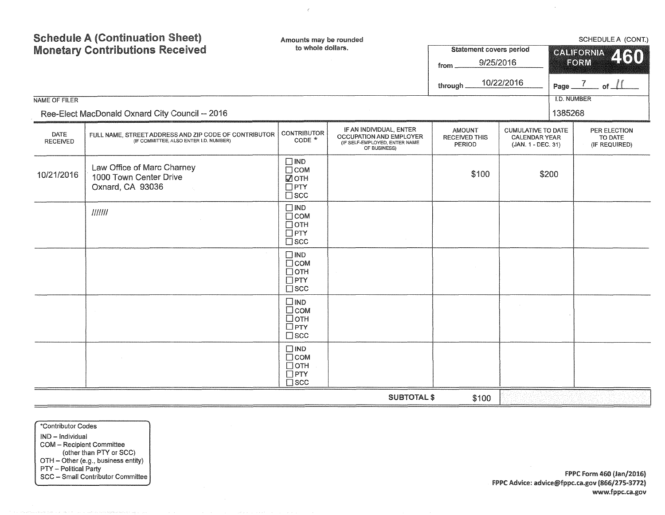| <b>Schedule A (Continuation Sheet)</b><br><b>Monetary Contributions Received</b>                                           |                                                                          | Amounts may be rounded<br>to whole dollars.                              |                                                                                                     | <b>Statement covers period</b><br>9/25/2016<br>from.<br>10/22/2016<br>through |                                                                         |                    | SCHEDULE A (CONT.)<br>CALIFORNIA 460<br>FORM<br>Page $\frac{7}{2}$ of $\frac{11}{2}$ |
|----------------------------------------------------------------------------------------------------------------------------|--------------------------------------------------------------------------|--------------------------------------------------------------------------|-----------------------------------------------------------------------------------------------------|-------------------------------------------------------------------------------|-------------------------------------------------------------------------|--------------------|--------------------------------------------------------------------------------------|
| NAME OF FILER                                                                                                              |                                                                          |                                                                          |                                                                                                     |                                                                               |                                                                         | <b>I.D. NUMBER</b> |                                                                                      |
|                                                                                                                            | Ree-Elect MacDonald Oxnard City Council -- 2016                          |                                                                          |                                                                                                     |                                                                               |                                                                         | 1385268            |                                                                                      |
| DATE<br>FULL NAME. STREET ADDRESS AND ZIP CODE OF CONTRIBUTOR<br>(IF COMMITTEE, ALSO ENTER I.D. NUMBER)<br><b>RECEIVED</b> |                                                                          | <b>CONTRIBUTOR</b><br>CODE *                                             | IF AN INDIVIDUAL, ENTER<br>OCCUPATION AND EMPLOYER<br>(IF SELF-EMPLOYED, ENTER NAME<br>OF BUSINESS) | <b>AMOUNT</b><br><b>RECEIVED THIS</b><br>PERIOD                               | <b>CUMULATIVE TO DATE</b><br><b>CALENDAR YEAR</b><br>(JAN. 1 - DEC. 31) |                    | PER ELECTION<br>TO DATE<br>(IF REQUIRED)                                             |
| 10/21/2016                                                                                                                 | Law Office of Marc Charney<br>1000 Town Center Drive<br>Oxnard, CA 93036 | $\Box$ IND<br>$\Box$ COM<br><b>И</b> отн<br>$\Box$ PTY<br>$\square$ scc  |                                                                                                     | \$100<br>\$200                                                                |                                                                         |                    |                                                                                      |
|                                                                                                                            | IIIIII                                                                   | $\Box$ IND<br>$\Box$ COM<br>$\Box$ OTH<br>$\Box$ PTY<br>$\square$ scc    |                                                                                                     |                                                                               |                                                                         |                    |                                                                                      |
|                                                                                                                            |                                                                          | $\square$ IND<br>$\Box$ COM<br>$\Box$ OTH<br>$\Box$ PTY<br>$\Box$ SCC    |                                                                                                     |                                                                               |                                                                         |                    |                                                                                      |
|                                                                                                                            |                                                                          | $\square$ IND<br>$\Box$ COM<br>$\Box$ OTH<br>$\Box$ PTY<br>$\square$ scc |                                                                                                     |                                                                               |                                                                         |                    |                                                                                      |
|                                                                                                                            |                                                                          | $\Box$ IND<br>$\Box$ COM<br>$\Box$ OTH<br>$\Box$ PTY<br>$\square$ scc    |                                                                                                     |                                                                               |                                                                         |                    |                                                                                      |
|                                                                                                                            |                                                                          |                                                                          | <b>SUBTOTAL \$</b>                                                                                  | \$100                                                                         |                                                                         |                    |                                                                                      |

 $\bar{\epsilon}$ 

\*Contributor Codes IND - Individual COM - Recipient Committee (other than PTY or SCC) OTH - Other (e.g., business entity) PTY - Political Party SCC - Small Contributor Committee

**FPPC Form 460 (Jan/2016)** FPPC Advice: advice@fppc.ca.gov (866/275-3712) www.fppc.ca.gov

 $\sim$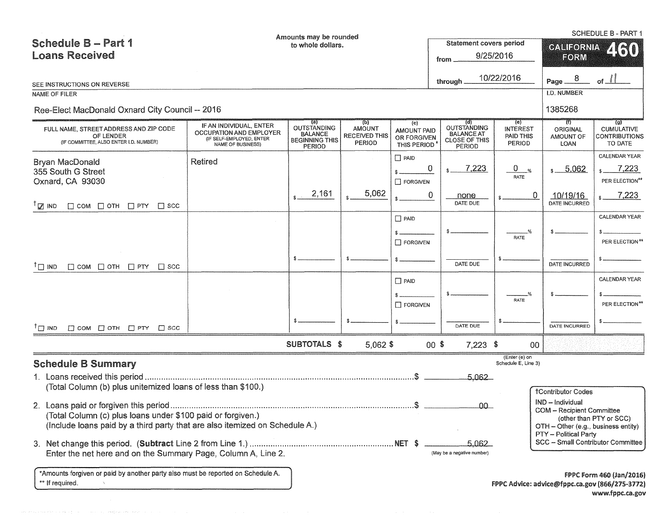|                                                                                               |                                                                                                     | Amounts may be rounded                                                                |                                                        |                                                         |                                                                           |                                               |                                      | <b>SCHEDULE B - PART 1</b>                                                        |  |
|-----------------------------------------------------------------------------------------------|-----------------------------------------------------------------------------------------------------|---------------------------------------------------------------------------------------|--------------------------------------------------------|---------------------------------------------------------|---------------------------------------------------------------------------|-----------------------------------------------|--------------------------------------|-----------------------------------------------------------------------------------|--|
| Schedule B - Part 1                                                                           |                                                                                                     | to whole dollars.                                                                     |                                                        | <b>Statement covers period</b>                          |                                                                           | <b>GALIFORNIA</b>                             |                                      |                                                                                   |  |
| <b>Loans Received</b>                                                                         |                                                                                                     |                                                                                       |                                                        | from                                                    | 9/25/2016                                                                 | FORM                                          |                                      |                                                                                   |  |
|                                                                                               |                                                                                                     |                                                                                       |                                                        |                                                         |                                                                           |                                               |                                      |                                                                                   |  |
| SEE INSTRUCTIONS ON REVERSE                                                                   |                                                                                                     |                                                                                       |                                                        |                                                         | through                                                                   | 10/22/2016                                    | -8<br>Page_                          | of                                                                                |  |
| <b>NAME OF FILER</b>                                                                          |                                                                                                     |                                                                                       |                                                        |                                                         |                                                                           |                                               | I.D. NUMBER                          |                                                                                   |  |
| Ree-Elect MacDonald Oxnard City Council -- 2016                                               |                                                                                                     |                                                                                       |                                                        |                                                         |                                                                           |                                               | 1385268                              |                                                                                   |  |
| FULL NAME, STREET ADDRESS AND ZIP CODE<br>OF LENDER<br>(IF COMMITTEE, ALSO ENTER I.D. NUMBER) | IF AN INDIVIDUAL, ENTER<br>OCCUPATION AND EMPLOYER<br>(IF SELF-EMPLOYED, ENTER<br>NAME OF BUSINESS) | (a)<br><b>OUTSTANDING</b><br><b>BALANCE</b><br><b>BEGINNING THIS</b><br><b>PERIOD</b> | (p)<br><b>AMOUNT</b><br><b>RECEIVED THIS</b><br>PERIOD | (c)<br><b>AMOUNT PAID</b><br>OR FORGIVEN<br>THIS PERIOD | OUTSTANDING<br><b>BALANCE AT</b><br><b>CLOSE OF THIS</b><br><b>PERIOD</b> | (e)<br><b>INTEREST</b><br>PAID THIS<br>PERIOD | 71)<br>ORIGINAL<br>AMOUNT OF<br>LOAN | $\left( 9 \right)$<br><b>CUMULATIVE</b><br><b>CONTRIBUTIONS</b><br>TO DATE        |  |
| Bryan MacDonald                                                                               | <b>Retired</b>                                                                                      |                                                                                       |                                                        | $\Box$ PAID                                             |                                                                           |                                               |                                      | <b>CALENDAR YEAR</b>                                                              |  |
| 355 South G Street                                                                            |                                                                                                     |                                                                                       |                                                        |                                                         | 7,223<br>0                                                                | $\overline{0}$<br>$\frac{1}{2}$<br>RATE       | $s = 5,062$                          | 7,223                                                                             |  |
| Oxnard, CA 93030                                                                              |                                                                                                     |                                                                                       |                                                        | $\Box$ FORGIVEN                                         |                                                                           |                                               |                                      | PER ELECTION**                                                                    |  |
| $T_{\square}$ IND<br>$\Box$ COM $\Box$ OTH $\Box$ PTY $\Box$ SCC                              |                                                                                                     | 2,161                                                                                 | 5,062                                                  |                                                         | 0<br>none<br>DATE DUE                                                     | 0                                             | 10/19/16<br><b>DATE INCURRED</b>     | 7,223                                                                             |  |
|                                                                                               |                                                                                                     |                                                                                       |                                                        | $\Box$ PAID                                             |                                                                           |                                               |                                      | <b>CALENDAR YEAR</b>                                                              |  |
|                                                                                               |                                                                                                     |                                                                                       |                                                        | $\Box$ FORGIVEN                                         |                                                                           | <b>RATE</b>                                   |                                      | PER ELECTION**                                                                    |  |
| $\Box$ COM $\Box$ OTH $\Box$ PTY<br>$\Box$ IND<br>$\Box$ SCC                                  |                                                                                                     |                                                                                       |                                                        |                                                         | DATE DUE                                                                  |                                               | DATE INCURRED                        |                                                                                   |  |
|                                                                                               |                                                                                                     |                                                                                       |                                                        | $\Box$ PAID                                             |                                                                           |                                               |                                      | <b>CALENDAR YEAR</b>                                                              |  |
|                                                                                               |                                                                                                     |                                                                                       |                                                        |                                                         |                                                                           |                                               |                                      |                                                                                   |  |
|                                                                                               |                                                                                                     |                                                                                       |                                                        | $\Box$ FORGIVEN                                         |                                                                           | RATE                                          |                                      | PER ELECTION**                                                                    |  |
| $\Box$ COM $\Box$ OTH $\Box$ PTY $\Box$ SCC<br>$\Box$ IND                                     |                                                                                                     |                                                                                       |                                                        |                                                         | DATE DUE                                                                  |                                               | DATE INCURRED                        |                                                                                   |  |
|                                                                                               |                                                                                                     | SUBTOTALS \$                                                                          | $5,062$ \$                                             |                                                         | $00$ \$<br>$7,223$ \$                                                     | 00                                            |                                      |                                                                                   |  |
| <b>Schedule B Summary</b>                                                                     |                                                                                                     |                                                                                       |                                                        |                                                         |                                                                           | $E$ nter (e) on<br>Schedule E, Line 3)        |                                      |                                                                                   |  |
|                                                                                               |                                                                                                     |                                                                                       |                                                        |                                                         | 5,062                                                                     |                                               |                                      |                                                                                   |  |
| (Total Column (b) plus unitemized loans of less than \$100.)                                  |                                                                                                     |                                                                                       |                                                        |                                                         |                                                                           |                                               | <b>†Contributor Codes</b>            |                                                                                   |  |
|                                                                                               |                                                                                                     |                                                                                       |                                                        |                                                         |                                                                           |                                               | IND - Individual                     |                                                                                   |  |
| -00<br>(Total Column (c) plus loans under \$100 paid or forgiven.)                            |                                                                                                     |                                                                                       |                                                        |                                                         |                                                                           |                                               |                                      | <b>COM</b> - Recipient Committee<br>(other than PTY or SCC)                       |  |
| (Include loans paid by a third party that are also itemized on Schedule A.)                   |                                                                                                     |                                                                                       |                                                        |                                                         |                                                                           |                                               | OTH - Other (e.g., business entity)  |                                                                                   |  |
|                                                                                               |                                                                                                     |                                                                                       |                                                        |                                                         | 5.062                                                                     |                                               | PTY - Political Party                | SCC - Small Contributor Committee                                                 |  |
| Enter the net here and on the Summary Page, Column A, Line 2.                                 |                                                                                                     |                                                                                       |                                                        |                                                         | (May be a negative number)                                                |                                               |                                      |                                                                                   |  |
| *Amounts forgiven or paid by another party also must be reported on Schedule A.               |                                                                                                     |                                                                                       |                                                        |                                                         |                                                                           |                                               |                                      |                                                                                   |  |
| ** If required.                                                                               |                                                                                                     |                                                                                       |                                                        |                                                         |                                                                           |                                               |                                      | <b>FPPC Form 460 (Jan/2016)</b><br>FPPC Advice: advice@fppc.ca.gov (866/275-3772) |  |

www.fppc.ca.gov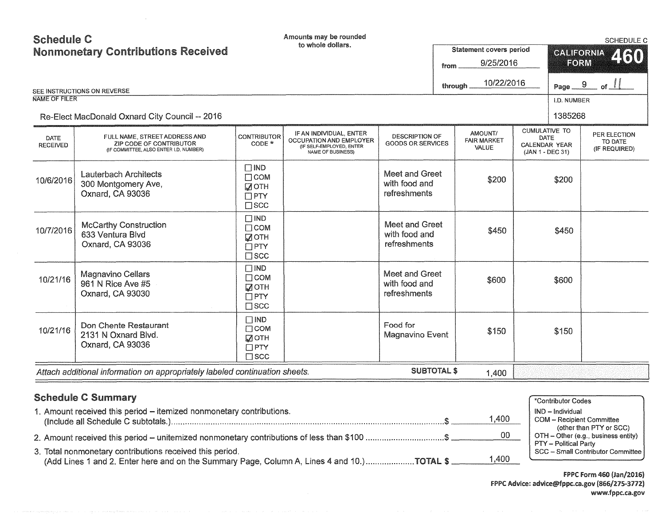| <b>NAME OF FILER</b>           | <b>Nonmonetary Contributions Received</b><br>SEE INSTRUCTIONS ON REVERSE<br>Re-Elect MacDonald Oxnard City Council -- 2016 |                                                                              |                                                                                                            |                                                   | from<br>through _ | Statement covers period<br>9/25/2016<br>10/22/2016 |                                                                          | <b>CALIFORNIA</b><br>FORM<br>Page _<br>I.D. NUMBER<br>1385268 | 460<br>9<br>of $\lceil$                  |
|--------------------------------|----------------------------------------------------------------------------------------------------------------------------|------------------------------------------------------------------------------|------------------------------------------------------------------------------------------------------------|---------------------------------------------------|-------------------|----------------------------------------------------|--------------------------------------------------------------------------|---------------------------------------------------------------|------------------------------------------|
| <b>DATE</b><br><b>RECEIVED</b> | FULL NAME, STREET ADDRESS AND<br>ZIP CODE OF CONTRIBUTOR<br>(IF COMMITTEE, ALSO ENTER I.D. NUMBER)                         | <b>CONTRIBUTOR</b><br>$CODE *$                                               | IF AN INDIVIDUAL, ENTER<br><b>OCCUPATION AND EMPLOYER</b><br>(IF SELF-EMPLOYED, ENTER<br>NAME OF BUSINESS) | <b>DESCRIPTION OF</b><br><b>GOODS OR SERVICES</b> |                   | AMOUNT/<br><b>FAIR MARKET</b><br>VALUE             | <b>CUMULATIVE TO</b><br>DATE<br><b>CALENDAR YEAR</b><br>(JAN 1 - DEC 31) |                                                               | PER ELECTION<br>TO DATE<br>(IF REQUIRED) |
| 10/6/2016                      | <b>Lauterbach Architects</b><br>300 Montgomery Ave,<br>Oxnard, CA 93036                                                    | $\square$ IND<br>$\Box$ COM<br>$\sqrt{2}$ OTH<br>$\Box$ PTY<br>$\square$ SCC |                                                                                                            | Meet and Greet<br>with food and<br>refreshments   |                   | \$200                                              |                                                                          | \$200                                                         |                                          |
| 10/7/2016                      | <b>McCarthy Construction</b><br>633 Ventura Blvd<br>Oxnard, CA 93036                                                       | $\Box$ IND<br>$\Box$ COM<br>$\sqrt{2}$ OTH<br>$\Box$ PTY<br>$\square$ SCC    |                                                                                                            | Meet and Greet<br>with food and<br>refreshments   |                   | \$450                                              |                                                                          | \$450                                                         |                                          |
| 10/21/16                       | <b>Magnavino Cellars</b><br>961 N Rice Ave #5<br>Oxnard, CA 93030                                                          | $\Box$ IND<br>$\Box$ COM<br><b>MOTH</b><br>$\Box$ PTY<br>$\square$ SCC       |                                                                                                            | Meet and Greet<br>with food and<br>refreshments   |                   | \$600                                              |                                                                          | \$600                                                         |                                          |
| 10/21/16                       | Don Chente Restaurant<br>2131 N Oxnard Blvd.<br>Oxnard, CA 93036                                                           | $\Box$ IND<br>$\Box$ COM<br>$\sqrt{ }$ OTH<br>$\square$ PTY<br>$\square$ scc |                                                                                                            | Food for<br>Magnavino Event                       |                   | \$150                                              |                                                                          | \$150                                                         |                                          |
|                                | Attach additional information on appropriately labeled continuation sheets.                                                |                                                                              |                                                                                                            | <b>SUBTOTAL \$</b>                                |                   | 1,400                                              |                                                                          |                                                               |                                          |

 $\sim$ 

| <b>Schedule C Summary</b>                                                                                                                               |       | *Contributor Codes                                                                      |
|---------------------------------------------------------------------------------------------------------------------------------------------------------|-------|-----------------------------------------------------------------------------------------|
| 1. Amount received this period – itemized nonmonetary contributions.                                                                                    | 1,400 | IND - Individual<br><b>COM</b> - Recipient Committee                                    |
| 2. Amount received this period – unitemized nonmonetary contributions of less than \$100 \$                                                             | -00   | (other than PTY or SCC)<br>OTH – Other (e.g., business entity)<br>PTY – Political Party |
| 3. Total nonmonetary contributions received this period.<br>(Add Lines 1 and 2. Enter here and on the Summary Page, Column A, Lines 4 and 10.)TOTAL \$. | 1,400 | SCC - Small Contributor Committee                                                       |

f Pi>C Form 460 (Jan/2016) FPPC Advice: advice@fppc.ca.gov (866/215-3172) www.fppc.ca.gov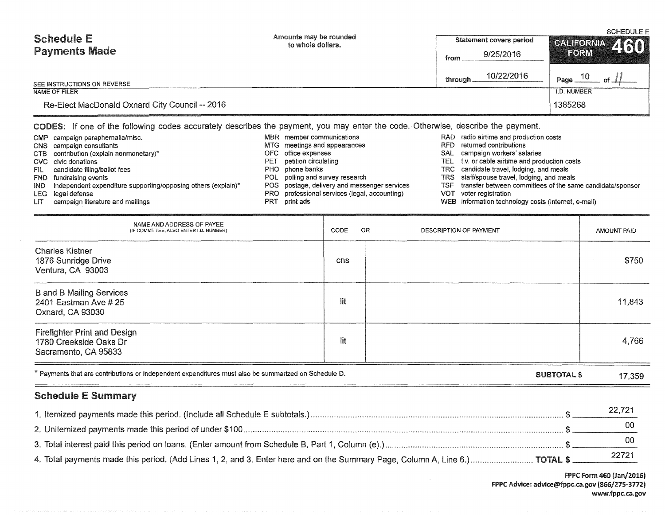Schedule E Payments Made SEE INSTRUCTIONS ON REVERSE NAME OF FILER Re-Elect MacDonald Oxnard City Council -- 2016 Amounts may be rounded to whole dollars. Statement covers period from 9/25/2016 through 10/22/2016 SCHEDULE E  $CAL$ *IFORNIA*  $F(25)$ ' Page  $\frac{10}{\text{ of }}$  of  $\frac{1}{2}$ l.D. NUMBER 1385268 CODES: If one of the following codes accurately describes the payment, you may enter the code. Otherwise, describe the payment. CMP campaign paraphernalia/misc. CNS campaign consultants CTB contribution (explain nonmonetary)\* CVC civic donations FIL FND fundraising events IND LEG UT candidate filing/ballot fees independent expenditure supporting/opposing others (explain)\* legal defense campaign literature and mailings MBR member communications MTG meetings and appearances OFC office expenses PET PHO phone banks POL polling and survey research POS PRO professional services (legal, accounting) PRT print ads petition circulating postage, delivery and messenger services RAD radio airtime and production costs RFD returned contributions SAL campaign workers' salaries TEL t.v. or cable airtime and production costs TRC candidate travel, lodging, and meals TRS staff/spouse travel, lodging, and meals TSF transfer between committees of the same candidate/sponsor<br>VOT voter registration voter registration WEB information technology costs (internet, e-mail)

| NAME AND ADDRESS OF PAYEE<br>(IF COMMITTEE, ALSO ENTER I.D. NUMBER)                                  | CODE | OR | <b>DESCRIPTION OF PAYMENT</b> |                    | AMOUNT PAID |
|------------------------------------------------------------------------------------------------------|------|----|-------------------------------|--------------------|-------------|
| <b>Charles Kistner</b><br>1876 Sunridge Drive<br>Ventura, CA 93003                                   | cns  |    |                               |                    | \$750       |
| <b>B</b> and <b>B</b> Mailing Services<br>2401 Eastman Ave # 25<br>Oxnard, CA 93030                  | lit  |    |                               |                    | 11,843      |
| <b>Firefighter Print and Design</b><br>1780 Creekside Oaks Dr<br>Sacramento, CA 95833                | lit  |    |                               |                    | 4,766       |
| * Payments that are contributions or independent expenditures must also be summarized on Schedule D. |      |    |                               | <b>SUBTOTAL \$</b> | 17,359      |
| <b>Schedule E Summary</b>                                                                            |      |    |                               |                    |             |

## 1. Itemized payments made this period. (Include ail Schedule E subtotals.) 2. Unitemized payments made this period of under \$100 \$ 00 3. Total interest paid this period on loans. (Enter amount from Schedule B, Part 1, Column (e).) \$ 00 22,721 4. Total payments made this period. (Add Lines 1, 2, and 3. Enter here and on the Summary Page, Column A, Line 6.) .............................. TOTAL \$ 22721

FPPC Form 460 (Jan/2016) FPPC Advice: advice@fppc.ca.gov (866/275-3772) www.fppc.ca.gov